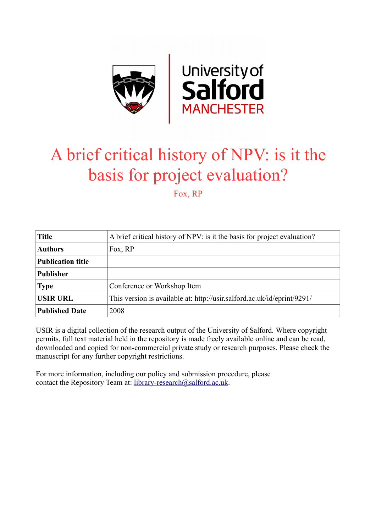

# A brief critical history of NPV: is it the basis for project evaluation?

Fox, RP

| <b>Title</b>             | A brief critical history of NPV: is it the basis for project evaluation? |
|--------------------------|--------------------------------------------------------------------------|
| <b>Authors</b>           | Fox, RP                                                                  |
| <b>Publication title</b> |                                                                          |
| <b>Publisher</b>         |                                                                          |
| <b>Type</b>              | Conference or Workshop Item                                              |
| <b>USIR URL</b>          | This version is available at: http://usir.salford.ac.uk/id/eprint/9291/  |
| <b>Published Date</b>    | 2008                                                                     |

USIR is a digital collection of the research output of the University of Salford. Where copyright permits, full text material held in the repository is made freely available online and can be read, downloaded and copied for non-commercial private study or research purposes. Please check the manuscript for any further copyright restrictions.

For more information, including our policy and submission procedure, please contact the Repository Team at: [library-research@salford.ac.uk.](mailto:library-research@salford.ac.uk)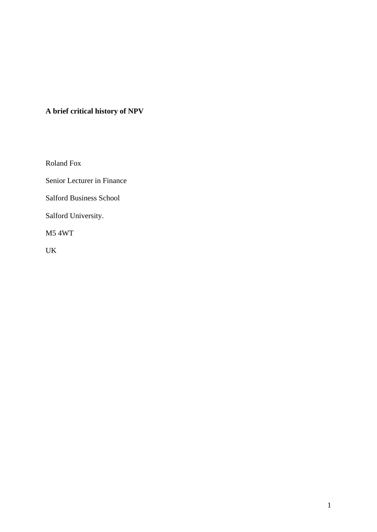# **A brief critical history of NPV**

Roland Fox

Senior Lecturer in Finance

Salford Business School

Salford University.

M5 4WT

UK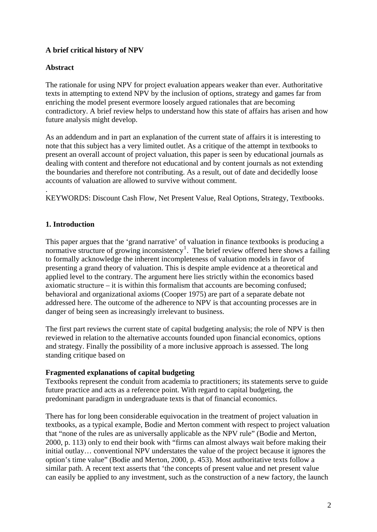# **A brief critical history of NPV**

## **Abstract**

The rationale for using NPV for project evaluation appears weaker than ever. Authoritative texts in attempting to extend NPV by the inclusion of options, strategy and games far from enriching the model present evermore loosely argued rationales that are becoming contradictory. A brief review helps to understand how this state of affairs has arisen and how future analysis might develop.

As an addendum and in part an explanation of the current state of affairs it is interesting to note that this subject has a very limited outlet. As a critique of the attempt in textbooks to present an overall account of project valuation, this paper is seen by educational journals as dealing with content and therefore not educational and by content journals as not extending the boundaries and therefore not contributing. As a result, out of date and decidedly loose accounts of valuation are allowed to survive without comment.

KEYWORDS: Discount Cash Flow, Net Present Value, Real Options, Strategy, Textbooks.

## **1. Introduction**

.

This paper argues that the 'grand narrative' of valuation in finance textbooks is producing a normative structure of growing inconsistency<sup>[1](#page-15-0)</sup>. The brief review offered here shows a failing to formally acknowledge the inherent incompleteness of valuation models in favor of presenting a grand theory of valuation. This is despite ample evidence at a theoretical and applied level to the contrary. The argument here lies strictly within the economics based axiomatic structure – it is within this formalism that accounts are becoming confused; behavioral and organizational axioms (Cooper 1975) are part of a separate debate not addressed here. The outcome of the adherence to NPV is that accounting processes are in danger of being seen as increasingly irrelevant to business.

The first part reviews the current state of capital budgeting analysis; the role of NPV is then reviewed in relation to the alternative accounts founded upon financial economics, options and strategy. Finally the possibility of a more inclusive approach is assessed. The long standing critique based on

#### **Fragmented explanations of capital budgeting**

Textbooks represent the conduit from academia to practitioners; its statements serve to guide future practice and acts as a reference point. With regard to capital budgeting, the predominant paradigm in undergraduate texts is that of financial economics.

There has for long been considerable equivocation in the treatment of project valuation in textbooks, as a typical example, Bodie and Merton comment with respect to project valuation that "none of the rules are as universally applicable as the NPV rule" (Bodie and Merton, 2000, p. 113) only to end their book with "firms can almost always wait before making their initial outlay… conventional NPV understates the value of the project because it ignores the option's time value" (Bodie and Merton, 2000, p. 453). Most authoritative texts follow a similar path. A recent text asserts that 'the concepts of present value and net present value can easily be applied to any investment, such as the construction of a new factory, the launch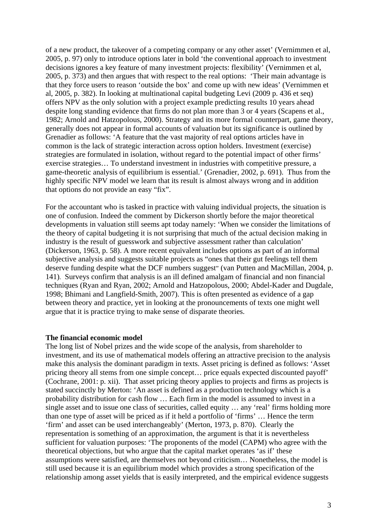of a new product, the takeover of a competing company or any other asset' (Vernimmen et al, 2005, p. 97) only to introduce options later in bold 'the conventional approach to investment decisions ignores a key feature of many investment projects: flexibility' (Vernimmen et al, 2005, p. 373) and then argues that with respect to the real options: 'Their main advantage is that they force users to reason 'outside the box' and come up with new ideas' (Vernimmen et al, 2005, p. 382). In looking at multinational capital budgeting Levi (2009 p. 436 et seq) offers NPV as the only solution with a project example predicting results 10 years ahead despite long standing evidence that firms do not plan more than 3 or 4 years (Scapens et al., 1982; Arnold and Hatzopolous, 2000). Strategy and its more formal counterpart, game theory, generally does not appear in formal accounts of valuation but its significance is outlined by Grenadier as follows: 'A feature that the vast majority of real options articles have in common is the lack of strategic interaction across option holders. Investment (exercise) strategies are formulated in isolation, without regard to the potential impact of other firms' exercise strategies… To understand investment in industries with competitive pressure, a game-theoretic analysis of equilibrium is essential.' (Grenadier, 2002, p. 691). Thus from the highly specific NPV model we learn that its result is almost always wrong and in addition that options do not provide an easy "fix".

For the accountant who is tasked in practice with valuing individual projects, the situation is one of confusion. Indeed the comment by Dickerson shortly before the major theoretical developments in valuation still seems apt today namely: 'When we consider the limitations of the theory of capital budgeting it is not surprising that much of the actual decision making in industry is the result of guesswork and subjective assessment rather than calculation' (Dickerson, 1963, p. 58). A more recent equivalent includes options as part of an informal subjective analysis and suggests suitable projects as "ones that their gut feelings tell them deserve funding despite what the DCF numbers suggest" (van Putten and MacMillan, 2004, p. 141). Surveys confirm that analysis is an ill defined amalgam of financial and non financial techniques (Ryan and Ryan, 2002; Arnold and Hatzopolous, 2000; Abdel-Kader and Dugdale, 1998; Bhimani and Langfield-Smith, 2007). This is often presented as evidence of a gap between theory and practice, yet in looking at the pronouncements of texts one might well argue that it is practice trying to make sense of disparate theories.

#### **The financial economic model**

The long list of Nobel prizes and the wide scope of the analysis, from shareholder to investment, and its use of mathematical models offering an attractive precision to the analysis make this analysis the dominant paradigm in texts. Asset pricing is defined as follows: 'Asset pricing theory all stems from one simple concept… price equals expected discounted payoff' (Cochrane, 2001: p. xii). That asset pricing theory applies to projects and firms as projects is stated succinctly by Merton: 'An asset is defined as a production technology which is a probability distribution for cash flow … Each firm in the model is assumed to invest in a single asset and to issue one class of securities, called equity ... any 'real' firms holding more than one type of asset will be priced as if it held a portfolio of 'firms' … Hence the term 'firm' and asset can be used interchangeably' (Merton, 1973, p. 870). Clearly the representation is something of an approximation, the argument is that it is nevertheless sufficient for valuation purposes: 'The proponents of the model (CAPM) who agree with the theoretical objections, but who argue that the capital market operates 'as if' these assumptions were satisfied, are themselves not beyond criticism… Nonetheless, the model is still used because it is an equilibrium model which provides a strong specification of the relationship among asset yields that is easily interpreted, and the empirical evidence suggests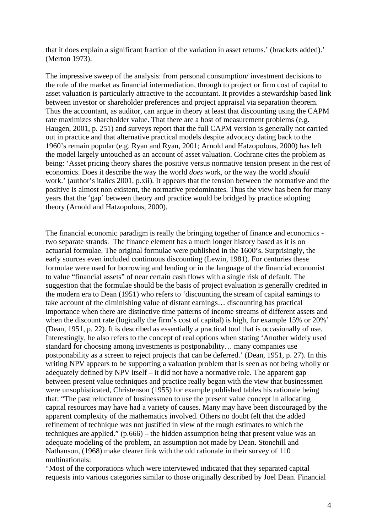that it does explain a significant fraction of the variation in asset returns.' (brackets added).' (Merton 1973).

The impressive sweep of the analysis: from personal consumption/ investment decisions to the role of the market as financial intermediation, through to project or firm cost of capital to asset valuation is particularly attractive to the accountant. It provides a stewardship based link between investor or shareholder preferences and project appraisal via separation theorem. Thus the accountant, as auditor, can argue in theory at least that discounting using the CAPM rate maximizes shareholder value. That there are a host of measurement problems (e.g. Haugen, 2001, p. 251) and surveys report that the full CAPM version is generally not carried out in practice and that alternative practical models despite advocacy dating back to the 1960's remain popular (e.g. Ryan and Ryan, 2001; Arnold and Hatzopolous, 2000) has left the model largely untouched as an account of asset valuation. Cochrane cites the problem as being: 'Asset pricing theory shares the positive versus normative tension present in the rest of economics. Does it describe the way the world *does* work, or the way the world *should* work.' (author's italics 2001, p.xii). It appears that the tension between the normative and the positive is almost non existent, the normative predominates. Thus the view has been for many years that the 'gap' between theory and practice would be bridged by practice adopting theory (Arnold and Hatzopolous, 2000).

The financial economic paradigm is really the bringing together of finance and economics two separate strands. The finance element has a much longer history based as it is on actuarial formulae. The original formulae were published in the 1600's. Surprisingly, the early sources even included continuous discounting (Lewin, 1981). For centuries these formulae were used for borrowing and lending or in the language of the financial economist to value "financial assets" of near certain cash flows with a single risk of default. The suggestion that the formulae should be the basis of project evaluation is generally credited in the modern era to Dean (1951) who refers to 'discounting the stream of capital earnings to take account of the diminishing value of distant earnings… discounting has practical importance when there are distinctive time patterns of income streams of different assets and when the discount rate (logically the firm's cost of capital) is high, for example 15% or 20%' (Dean, 1951, p. 22). It is described as essentially a practical tool that is occasionally of use. Interestingly, he also refers to the concept of real options when stating 'Another widely used standard for choosing among investments is postponability… many companies use postponability as a screen to reject projects that can be deferred.' (Dean, 1951, p. 27). In this writing NPV appears to be supporting a valuation problem that is seen as not being wholly or adequately defined by NPV itself – it did not have a normative role. The apparent gap between present value techniques and practice really began with the view that businessmen were unsophisticated, Christenson (1955) for example published tables his rationale being that: "The past reluctance of businessmen to use the present value concept in allocating capital resources may have had a variety of causes. Many may have been discouraged by the apparent complexity of the mathematics involved. Others no doubt felt that the added refinement of technique was not justified in view of the rough estimates to which the techniques are applied." (p.666) – the hidden assumption being that present value was an adequate modeling of the problem, an assumption not made by Dean. Stonehill and Nathanson, (1968) make clearer link with the old rationale in their survey of 110 multinationals:

"Most of the corporations which were interviewed indicated that they separated capital requests into various categories similar to those originally described by Joel Dean. Financial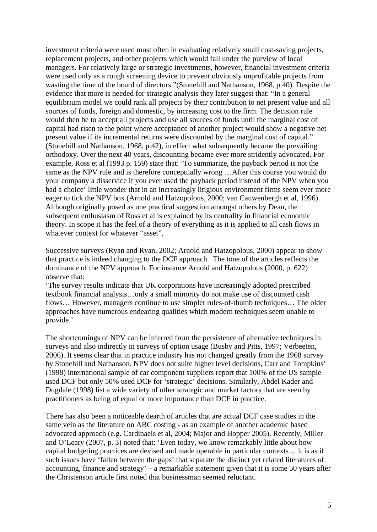investment criteria were used most often in evaluating relatively small cost-saving projects, replacement projects, and other projects which would fall under the purview of local managers. For relatively large or strategic investments, however, financial investment criteria were used only as a rough screening device to prevent obviously unprofitable projects from wasting the time of the board of directors."(Stonehill and Nathanson, 1968, p.40). Despite the evidence that more is needed for strategic analysis they later suggest that: "In a general equilibrium model we could rank all projects by their contribution to net present value and all sources of funds, foreign and domestic, by increasing cost to the firm. The decision rule would then be to accept all projects and use all sources of funds until the marginal cost of capital had risen to the point where acceptance of another project would show a negative net present value if its incremental returns were discounted by the marginal cost of capital." (Stonehill and Nathanson, 1968, p.42), in effect what subsequently became the prevailing orthodoxy. Over the next 40 years, discounting became ever more stridently advocated. For example, Ross et al (1993 p. 159) state that: 'To summarize, the payback period is not the same as the NPV rule and is therefore conceptually wrong …After this course you would do your company a disservice if you ever used the payback period instead of the NPV when you had a choice' little wonder that in an increasingly litigious environment firms seem ever more eager to tick the NPV box (Arnold and Hatzopolous, 2000; van Cauwenbergh et al, 1996). Although originally posed as one practical suggestion amongst others by Dean, the subsequent enthusiasm of Ross et al is explained by its centrality in financial economic theory. In scope it has the feel of a theory of everything as it is applied to all cash flows in whatever context for whatever "asset".

Successive surveys (Ryan and Ryan, 2002; Arnold and Hatzopolous, 2000) appear to show that practice is indeed changing to the DCF approach. The tone of the articles reflects the dominance of the NPV approach. For instance Arnold and Hatzopolous (2000, p. 622) observe that:

'The survey results indicate that UK corporations have increasingly adopted prescribed textbook financial analysis…only a small minority do not make use of discounted cash flows… However, managers continue to use simpler rules-of-thumb techniques… The older approaches have numerous endearing qualities which modern techniques seem unable to provide.'

The shortcomings of NPV can be inferred from the persistence of alternative techniques in surveys and also indirectly in surveys of option usage (Busby and Pitts, 1997; Verbeeten, 2006). It seems clear that in practice industry has not changed greatly from the 1968 survey by Stonehill and Nathanson. NPV does not suite higher level decisions, Carr and Tompkins' (1998) international sample of car component suppliers report that 100% of the US sample used DCF but only 50% used DCF for 'strategic' decisions. Similarly, Abdel Kader and Dugdale (1998) list a wide variety of other strategic and market factors that are seen by practitioners as being of equal or more importance than DCF in practice.

There has also been a noticeable dearth of articles that are actual DCF case studies in the same vein as the literature on ABC costing - as an example of another academic based advocated approach (e.g. Cardinaels et al, 2004; Major and Hopper 2005). Recently, Miller and O'Leary (2007, p. 3) noted that: 'Even today, we know remarkably little about how capital budgeting practices are devised and made operable in particular contexts… it is as if such issues have 'fallen between the gaps' that separate the distinct yet related literatures of accounting, finance and strategy' – a remarkable statement given that it is some 50 years after the Christenson article first noted that businessman seemed reluctant.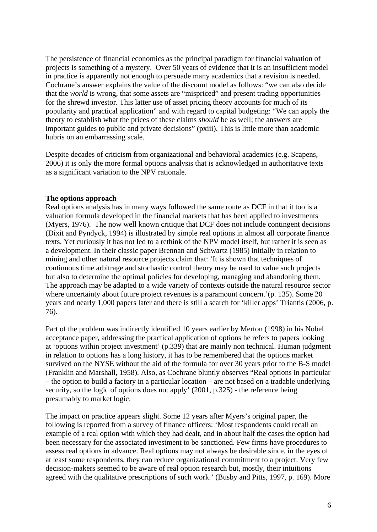The persistence of financial economics as the principal paradigm for financial valuation of projects is something of a mystery. Over 50 years of evidence that it is an insufficient model in practice is apparently not enough to persuade many academics that a revision is needed. Cochrane's answer explains the value of the discount model as follows: "we can also decide that the *world* is wrong, that some assets are "mispriced" and present trading opportunities for the shrewd investor. This latter use of asset pricing theory accounts for much of its popularity and practical application" and with regard to capital budgeting: "We can apply the theory to establish what the prices of these claims *should* be as well; the answers are important guides to public and private decisions" (pxiii). This is little more than academic hubris on an embarrassing scale.

Despite decades of criticism from organizational and behavioral academics (e.g. Scapens, 2006) it is only the more formal options analysis that is acknowledged in authoritative texts as a significant variation to the NPV rationale.

#### **The options approach**

Real options analysis has in many ways followed the same route as DCF in that it too is a valuation formula developed in the financial markets that has been applied to investments (Myers, 1976). The now well known critique that DCF does not include contingent decisions (Dixit and Pyndyck, 1994) is illustrated by simple real options in almost all corporate finance texts. Yet curiously it has not led to a rethink of the NPV model itself, but rather it is seen as a development. In their classic paper Brennan and Schwartz (1985) initially in relation to mining and other natural resource projects claim that: 'It is shown that techniques of continuous time arbitrage and stochastic control theory may be used to value such projects but also to determine the optimal policies for developing, managing and abandoning them. The approach may be adapted to a wide variety of contexts outside the natural resource sector where uncertainty about future project revenues is a paramount concern.'(p. 135). Some 20 years and nearly 1,000 papers later and there is still a search for 'killer apps' Triantis (2006, p. 76).

Part of the problem was indirectly identified 10 years earlier by Merton (1998) in his Nobel acceptance paper, addressing the practical application of options he refers to papers looking at 'options within project investment' (p.339) that are mainly non technical. Human judgment in relation to options has a long history, it has to be remembered that the options market survived on the NYSE without the aid of the formula for over 30 years prior to the B-S model (Franklin and Marshall, 1958). Also, as Cochrane bluntly observes "Real options in particular – the option to build a factory in a particular location – are not based on a tradable underlying security, so the logic of options does not apply' (2001, p.325) - the reference being presumably to market logic.

The impact on practice appears slight. Some 12 years after Myers's original paper, the following is reported from a survey of finance officers: 'Most respondents could recall an example of a real option with which they had dealt, and in about half the cases the option had been necessary for the associated investment to be sanctioned. Few firms have procedures to assess real options in advance. Real options may not always be desirable since, in the eyes of at least some respondents, they can reduce organizational commitment to a project. Very few decision-makers seemed to be aware of real option research but, mostly, their intuitions agreed with the qualitative prescriptions of such work.' (Busby and Pitts, 1997, p. 169). More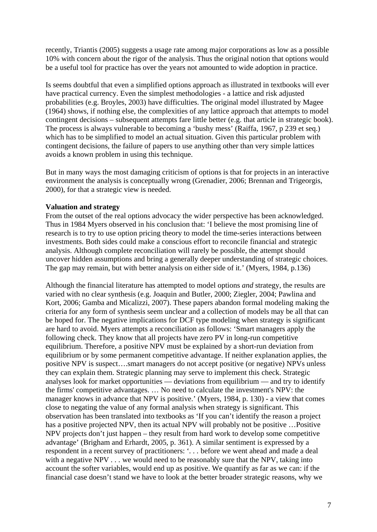recently, Triantis (2005) suggests a usage rate among major corporations as low as a possible 10% with concern about the rigor of the analysis. Thus the original notion that options would be a useful tool for practice has over the years not amounted to wide adoption in practice.

Is seems doubtful that even a simplified options approach as illustrated in textbooks will ever have practical currency. Even the simplest methodologies - a lattice and risk adjusted probabilities (e.g. Broyles, 2003) have difficulties. The original model illustrated by Magee (1964) shows, if nothing else, the complexities of any lattice approach that attempts to model contingent decisions – subsequent attempts fare little better (e.g. that article in strategic book). The process is always vulnerable to becoming a 'bushy mess' (Raiffa, 1967, p 239 et seq.) which has to be simplified to model an actual situation. Given this particular problem with contingent decisions, the failure of papers to use anything other than very simple lattices avoids a known problem in using this technique.

But in many ways the most damaging criticism of options is that for projects in an interactive environment the analysis is conceptually wrong (Grenadier, 2006; Brennan and Trigeorgis, 2000), for that a strategic view is needed.

#### **Valuation and strategy**

From the outset of the real options advocacy the wider perspective has been acknowledged. Thus in 1984 Myers observed in his conclusion that: 'I believe the most promising line of research is to try to use option pricing theory to model the time-series interactions between investments. Both sides could make a conscious effort to reconcile financial and strategic analysis. Although complete reconciliation will rarely be possible, the attempt should uncover hidden assumptions and bring a generally deeper understanding of strategic choices. The gap may remain, but with better analysis on either side of it.' (Myers, 1984, p.136)

Although the financial literature has attempted to model options *and* strategy, the results are varied with no clear synthesis (e.g. Joaquin and Butler, 2000; Ziegler, 2004; Pawlina and Kort, 2006; Gamba and Micalizzi, 2007). These papers abandon formal modeling making the criteria for any form of synthesis seem unclear and a collection of models may be all that can be hoped for. The negative implications for DCF type modeling when strategy is significant are hard to avoid. Myers attempts a reconciliation as follows: 'Smart managers apply the following check. They know that all projects have zero PV in long-run competitive equilibrium. Therefore, a positive NPV must be explained by a short-run deviation from equilibrium or by some permanent competitive advantage. If neither explanation applies, the positive NPV is suspect….smart managers do not accept positive (or negative) NPVs unless they can explain them. Strategic planning may serve to implement this check. Strategic analyses look for market opportunities — deviations from equilibrium — and try to identify the firms' competitive advantages. … No need to calculate the investment's NPV: the manager knows in advance that NPV is positive.' (Myers, 1984, p. 130) - a view that comes close to negating the value of any formal analysis when strategy is significant. This observation has been translated into textbooks as 'If you can't identify the reason a project has a positive projected NPV, then its actual NPV will probably not be positive ... Positive NPV projects don't just happen – they result from hard work to develop some competitive advantage' (Brigham and Erhardt, 2005, p. 361). A similar sentiment is expressed by a respondent in a recent survey of practitioners: '*. . .* before we went ahead and made a deal with a negative NPV  $\ldots$  we would need to be reasonably sure that the NPV, taking into account the softer variables, would end up as positive. We quantify as far as we can: if the financial case doesn't stand we have to look at the better broader strategic reasons, why we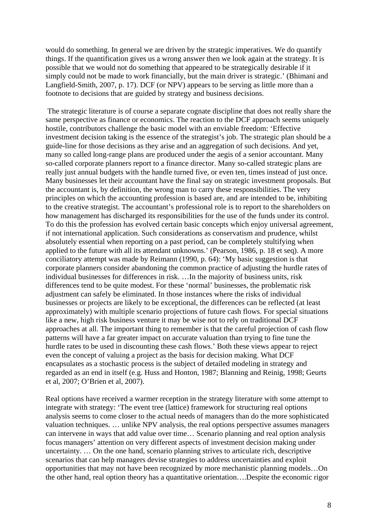would do something. In general we are driven by the strategic imperatives. We do quantify things. If the quantification gives us a wrong answer then we look again at the strategy. It is possible that we would not do something that appeared to be strategically desirable if it simply could not be made to work financially, but the main driver is strategic.' (Bhimani and Langfield-Smith, 2007, p. 17). DCF (or NPV) appears to be serving as little more than a footnote to decisions that are guided by strategy and business decisions.

 The strategic literature is of course a separate cognate discipline that does not really share the same perspective as finance or economics. The reaction to the DCF approach seems uniquely hostile, contributors challenge the basic model with an enviable freedom: 'Effective investment decision taking is the essence of the strategist's job. The strategic plan should be a guide-line for those decisions as they arise and an aggregation of such decisions. And yet, many so called long-range plans are produced under the aegis of a senior accountant. Many so-called corporate planners report to a finance director. Many so-called strategic plans are really just annual budgets with the handle turned five, or even ten, times instead of just once. Many businesses let their accountant have the final say on strategic investment proposals. But the accountant is, by definition, the wrong man to carry these responsibilities. The very principles on which the accounting profession is based are, and are intended to be, inhibiting to the creative strategist. The accountant's professional role is to report to the shareholders on how management has discharged its responsibilities for the use of the funds under its control. To do this the profession has evolved certain basic concepts which enjoy universal agreement, if not international application. Such considerations as conservatism and prudence, whilst absolutely essential when reporting on a past period, can be completely stultifying when applied to the future with all its attendant unknowns.' (Pearson, 1986, p. 18 et seq). A more conciliatory attempt was made by Reimann (1990, p. 64): 'My basic suggestion is that corporate planners consider abandoning the common practice of adjusting the hurdle rates of individual businesses for differences in risk. …In the majority of business units, risk differences tend to be quite modest. For these 'normal' businesses, the problematic risk adjustment can safely be eliminated. In those instances where the risks of individual businesses or projects are likely to be exceptional, the differences can be reflected (at least approximately) with multiple scenario projections of future cash flows. For special situations like a new, high risk business venture it may be wise not to rely on traditional DCF approaches at all. The important thing to remember is that the careful projection of cash flow patterns will have a far greater impact on accurate valuation than trying to fine tune the hurdle rates to be used in discounting these cash flows.' Both these views appear to reject even the concept of valuing a project as the basis for decision making. What DCF encapsulates as a stochastic process is the subject of detailed modeling in strategy and regarded as an end in itself (e.g. Huss and Honton, 1987; Blanning and Reinig, 1998; Geurts et al, 2007; O'Brien et al, 2007).

Real options have received a warmer reception in the strategy literature with some attempt to integrate with strategy: 'The event tree (lattice) framework for structuring real options analysis seems to come closer to the actual needs of managers than do the more sophisticated valuation techniques. … unlike NPV analysis, the real options perspective assumes managers can intervene in ways that add value over time… Scenario planning and real option analysis focus managers' attention on very different aspects of investment decision making under uncertainty. … On the one hand, scenario planning strives to articulate rich, descriptive scenarios that can help managers devise strategies to address uncertainties and exploit opportunities that may not have been recognized by more mechanistic planning models…On the other hand, real option theory has a quantitative orientation….Despite the economic rigor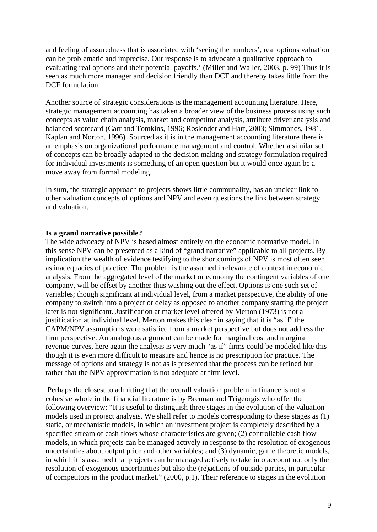and feeling of assuredness that is associated with 'seeing the numbers', real options valuation can be problematic and imprecise. Our response is to advocate a qualitative approach to evaluating real options and their potential payoffs.' (Miller and Waller, 2003, p. 99) Thus it is seen as much more manager and decision friendly than DCF and thereby takes little from the DCF formulation.

Another source of strategic considerations is the management accounting literature. Here, strategic management accounting has taken a broader view of the business process using such concepts as value chain analysis, market and competitor analysis, attribute driver analysis and balanced scorecard (Carr and Tomkins, 1996; Roslender and Hart, 2003; Simmonds, 1981, Kaplan and Norton, 1996). Sourced as it is in the management accounting literature there is an emphasis on organizational performance management and control. Whether a similar set of concepts can be broadly adapted to the decision making and strategy formulation required for individual investments is something of an open question but it would once again be a move away from formal modeling.

In sum, the strategic approach to projects shows little communality, has an unclear link to other valuation concepts of options and NPV and even questions the link between strategy and valuation.

#### **Is a grand narrative possible?**

The wide advocacy of NPV is based almost entirely on the economic normative model. In this sense NPV can be presented as a kind of "grand narrative" applicable to all projects. By implication the wealth of evidence testifying to the shortcomings of NPV is most often seen as inadequacies of practice. The problem is the assumed irrelevance of context in economic analysis. From the aggregated level of the market or economy the contingent variables of one company, will be offset by another thus washing out the effect. Options is one such set of variables; though significant at individual level, from a market perspective, the ability of one company to switch into a project or delay as opposed to another company starting the project later is not significant. Justification at market level offered by Merton (1973) is not a justification at individual level. Merton makes this clear in saying that it is "as if" the CAPM/NPV assumptions were satisfied from a market perspective but does not address the firm perspective. An analogous argument can be made for marginal cost and marginal revenue curves, here again the analysis is very much "as if" firms could be modeled like this though it is even more difficult to measure and hence is no prescription for practice. The message of options and strategy is not as is presented that the process can be refined but rather that the NPV approximation is not adequate at firm level.

 Perhaps the closest to admitting that the overall valuation problem in finance is not a cohesive whole in the financial literature is by Brennan and Trigeorgis who offer the following overview: "It is useful to distinguish three stages in the evolution of the valuation models used in project analysis. We shall refer to models corresponding to these stages as (1) static, or mechanistic models, in which an investment project is completely described by a specified stream of cash flows whose characteristics are given; (2) controllable cash flow models, in which projects can be managed actively in response to the resolution of exogenous uncertainties about output price and other variables; and (3) dynamic, game theoretic models, in which it is assumed that projects can be managed actively to take into account not only the resolution of exogenous uncertainties but also the (re)actions of outside parties, in particular of competitors in the product market." (2000, p.1). Their reference to stages in the evolution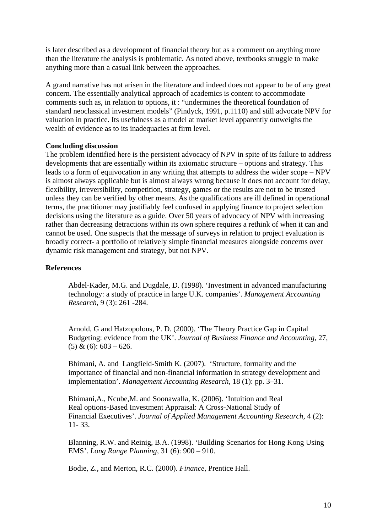is later described as a development of financial theory but as a comment on anything more than the literature the analysis is problematic. As noted above, textbooks struggle to make anything more than a casual link between the approaches.

A grand narrative has not arisen in the literature and indeed does not appear to be of any great concern. The essentially analytical approach of academics is content to accommodate comments such as, in relation to options, it : "undermines the theoretical foundation of standard neoclassical investment models" (Pindyck, 1991, p.1110) and still advocate NPV for valuation in practice. Its usefulness as a model at market level apparently outweighs the wealth of evidence as to its inadequacies at firm level.

#### **Concluding discussion**

The problem identified here is the persistent advocacy of NPV in spite of its failure to address developments that are essentially within its axiomatic structure – options and strategy. This leads to a form of equivocation in any writing that attempts to address the wider scope – NPV is almost always applicable but is almost always wrong because it does not account for delay, flexibility, irreversibility, competition, strategy, games or the results are not to be trusted unless they can be verified by other means. As the qualifications are ill defined in operational terms, the practitioner may justifiably feel confused in applying finance to project selection decisions using the literature as a guide. Over 50 years of advocacy of NPV with increasing rather than decreasing detractions within its own sphere requires a rethink of when it can and cannot be used. One suspects that the message of surveys in relation to project evaluation is broadly correct- a portfolio of relatively simple financial measures alongside concerns over dynamic risk management and strategy, but not NPV.

#### **References**

Abdel-Kader, M.G. and Dugdale, D. (1998). 'Investment in advanced manufacturing technology: a study of practice in large U.K. companies'. *Management Accounting Research*, 9 (3): 261 -284.

Arnold, G and Hatzopolous, P. D. (2000). 'The Theory Practice Gap in Capital Budgeting: evidence from the UK'. *Journal of Business Finance and Accounting,* 27,  $(5)$  &  $(6)$ : 603 – 626.

Bhimani, A. and Langfield-Smith K. (2007). 'Structure, formality and the importance of financial and non-financial information in strategy development and implementation'. *Management Accounting Research,* 18 (1): pp. 3–31.

Bhimani,A., Ncube,M. and Soonawalla, K. (2006). 'Intuition and Real Real options-Based Investment Appraisal: A Cross-National Study of Financial Executives'. *Journal of Applied Management Accounting Research,* 4 (2): 11- 33.

Blanning, R.W. and Reinig, B.A. (1998). 'Building Scenarios for Hong Kong Using EMS'. *Long Range Planning*, 31 (6): 900 – 910.

Bodie, Z., and Merton, R.C. (2000). *Finance,* Prentice Hall.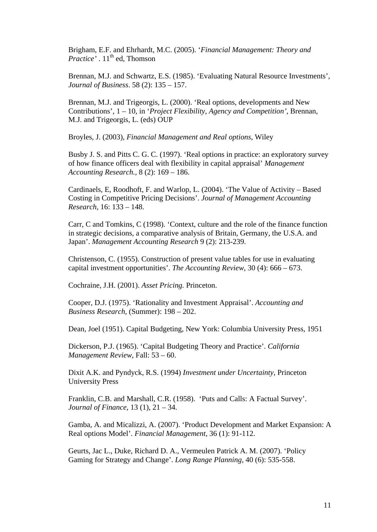Brigham, E.F. and Ehrhardt, M.C. (2005). '*Financial Management: Theory and Practice'* . 11<sup>th</sup> ed, Thomson

Brennan, M.J. and Schwartz, E.S. (1985). 'Evaluating Natural Resource Investments', *Journal of Business*. 58 (2): 135 – 157.

Brennan, M.J. and Trigeorgis, L. (2000). 'Real options, developments and New Contributions', 1 – 10, in '*Project Flexibility, Agency and Competition'*, Brennan, M.J. and Trigeorgis, L. (eds) OUP

Broyles, J. (2003), *Financial Management and Real options*, Wiley

Busby J. S. and Pitts C. G. C. (1997). 'Real options in practice: an exploratory survey of how finance officers deal with flexibility in capital appraisal' *Management Accounting Research.,* 8 (2): 169 – 186.

Cardinaels, E, Roodhoft, F. and Warlop, L. (2004). 'The Value of Activity – Based Costing in Competitive Pricing Decisions'. *Journal of Management Accounting Research,* 16: 133 – 148.

Carr, C and Tomkins, C (1998). 'Context, culture and the role of the finance function in strategic decisions, a comparative analysis of Britain, Germany, the U.S.A. and Japan'. *Management Accounting Research* 9 (2): 213-239.

Christenson, C. (1955). Construction of present value tables for use in evaluating capital investment opportunities'. *The Accounting Review*, 30 (4): 666 – 673.

Cochraine, J.H. (2001). *Asset Pricing.* Princeton.

Cooper, D.J. (1975). 'Rationality and Investment Appraisal'. *Accounting and Business Research*, (Summer): 198 – 202.

Dean, Joel (1951). Capital Budgeting, New York: Columbia University Press, 1951

Dickerson, P.J. (1965). 'Capital Budgeting Theory and Practice'. *California Management Review*, Fall: 53 – 60.

Dixit A.K. and Pyndyck, R.S. (1994) *Investment under Uncertainty*, Princeton University Press

Franklin, C.B. and Marshall, C.R. (1958). 'Puts and Calls: A Factual Survey'. *Journal of Finance*, 13 (1), 21 – 34.

Gamba, A. and Micalizzi, A. (2007). 'Product Development and Market Expansion: A Real options Model'. *Financial Management*, 36 (1): 91-112.

Geurts, Jac L., Duke, Richard D. A., Vermeulen Patrick A. M. (2007). 'Policy Gaming for Strategy and Change'. *Long Range Planning*, 40 (6): 535-558.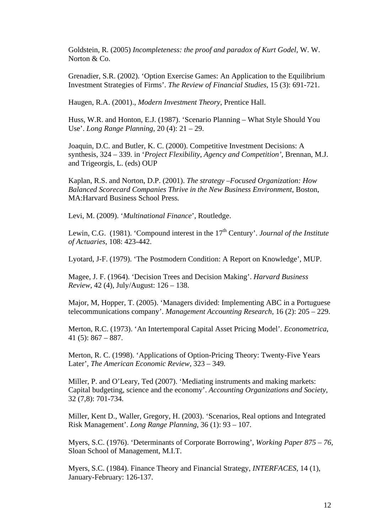Goldstein, R. (2005) *Incompleteness: the proof and paradox of Kurt Godel*, W. W. Norton & Co.

Grenadier, S.R. (2002). 'Option Exercise Games: An Application to the Equilibrium Investment Strategies of Firms'. *The Review of Financial Studies*, 15 (3): 691-721.

Haugen, R.A. (2001)., *Modern Investment Theory*, Prentice Hall.

Huss, W.R. and Honton, E.J. (1987). 'Scenario Planning – What Style Should You Use'. *Long Range Planning*, 20 (4): 21 – 29.

Joaquin, D.C. and Butler, K. C. (2000). Competitive Investment Decisions: A synthesis, 324 – 339. in '*Project Flexibility, Agency and Competition'*, Brennan, M.J. and Trigeorgis, L. (eds) OUP

Kaplan, R.S. and Norton, D.P. (2001). *The strategy –Focused Organization: How Balanced Scorecard Companies Thrive in the New Business Environment,* Boston, MA:Harvard Business School Press*.* 

Levi, M. (2009). '*Multinational Finance*', Routledge.

Lewin, C.G. (1981). 'Compound interest in the 17<sup>th</sup> Century'. *Journal of the Institute of Actuaries*, 108: 423-442.

Lyotard, J-F. (1979). 'The Postmodern Condition: A Report on Knowledge', MUP.

Magee, J. F. (1964). 'Decision Trees and Decision Making'. *Harvard Business Review*, 42 (4), July/August: 126 – 138.

Major, M, Hopper, T. (2005). 'Managers divided: Implementing ABC in a Portuguese telecommunications company'. *Management Accounting Research,* 16 (2): 205 – 229.

Merton, R.C. (1973). 'An Intertemporal Capital Asset Pricing Model'. *Econometrica*, 41 $(5)$ : 867 – 887.

Merton, R. C. (1998). 'Applications of Option-Pricing Theory: Twenty-Five Years Later', *The American Economic Review,* 323 – 349*.*

Miller, P. and O'Leary, Ted (2007). 'Mediating instruments and making markets: Capital budgeting, science and the economy'. *Accounting Organizations and Society,* 32 (7,8): 701-734.

Miller, Kent D., Waller, Gregory, H. (2003). 'Scenarios, Real options and Integrated Risk Management'. *Long Range Planning*, 36 (1): 93 – 107.

Myers, S.C. (1976). 'Determinants of Corporate Borrowing', *Working Paper 875 – 76,*  Sloan School of Management, M.I.T.

Myers, S.C. (1984). Finance Theory and Financial Strategy, *INTERFACES,* 14 (1), January-February: 126-137.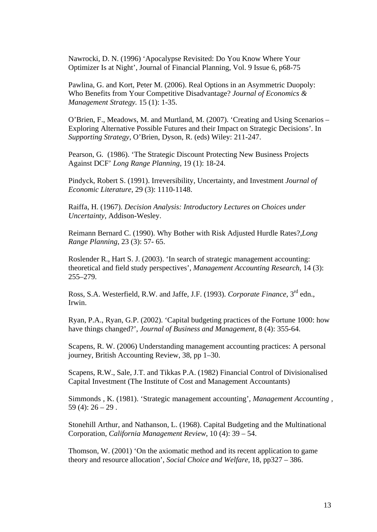Nawrocki, D. N. (1996) 'Apocalypse Revisited: Do You Know Where Your Optimizer Is at Night', Journal of Financial Planning, Vol. 9 Issue 6, p68-75

Pawlina, G. and Kort, Peter M. (2006). Real Options in an Asymmetric Duopoly: Who Benefits from Your Competitive Disadvantage? *Journal of Economics & Management Strategy.* 15 (1): 1-35.

O'Brien, F., Meadows, M. and Murtland, M. (2007). 'Creating and Using Scenarios – Exploring Alternative Possible Futures and their Impact on Strategic Decisions'*.* In *Supporting Strategy*, O'Brien, Dyson, R. (eds) Wiley: 211-247.

Pearson, G*.* (1986). 'The Strategic Discount Protecting New Business Projects Against DCF' *Long Range Planning,* 19 (1): 18-24.

Pindyck, Robert S. (1991). Irreversibility, Uncertainty, and Investment *Journal of Economic Literature*, 29 (3): 1110-1148.

Raiffa, H. (1967). *Decision Analysis: Introductory Lectures on Choices under Uncertainty*, Addison-Wesley.

Reimann Bernard C. (1990). Why Bother with Risk Adjusted Hurdle Rates?,*Long Range Planning*, 23 (3): 57- 65.

Roslender R., Hart S. J. (2003). 'In search of strategic management accounting: theoretical and field study perspectives', *Management Accounting Research,* 14 (3): 255–279.

Ross, S.A. Westerfield, R.W. and Jaffe, J.F. (1993). *Corporate Finance*, 3rd edn., Irwin.

Ryan, P.A., Ryan, G.P. (2002). 'Capital budgeting practices of the Fortune 1000: how have things changed?', *Journal of Business and Management*, 8 (4): 355-64.

Scapens, R. W. (2006) Understanding management accounting practices: A personal journey, British Accounting Review, 38, pp 1–30.

Scapens, R.W., Sale, J.T. and Tikkas P.A. (1982) Financial Control of Divisionalised Capital Investment (The Institute of Cost and Management Accountants)

Simmonds , K. (1981). 'Strategic management accounting', *Management Accounting ,*  59 (4):  $26 - 29$ .

Stonehill Arthur, and Nathanson, L. (1968). Capital Budgeting and the Multinational Corporation, *California Management Review*, 10 (4): 39 – 54.

Thomson, W. (2001) 'On the axiomatic method and its recent application to game theory and resource allocation', *Social Choice and Welfare*, 18, pp327 – 386.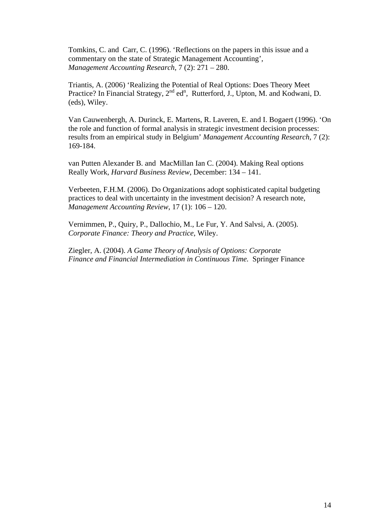Tomkins, C. and Carr, C. (1996). 'Reflections on the papers in this issue and a commentary on the state of Strategic Management Accounting', *Management Accounting Research*, 7 (2): 271 – 280.

Triantis, A. (2006) 'Realizing the Potential of Real Options: Does Theory Meet Practice? In Financial Strategy,  $2^{nd}$  ed<sup>n</sup>, Rutterford, J., Upton, M. and Kodwani, D. (eds), Wiley.

Van Cauwenbergh, A. Durinck, E. Martens, R. Laveren, E. and I. Bogaert (1996). 'On the role and function of formal analysis in strategic investment decision processes: results from an empirical study in Belgium' *Management Accounting Research*, 7 (2): 169-184.

van Putten Alexander B. and MacMillan Ian C. (2004). Making Real options Really Work, *Harvard Business Review,* December: 134 – 141.

Verbeeten, F.H.M. (2006). Do Organizations adopt sophisticated capital budgeting practices to deal with uncertainty in the investment decision? A research note, *Management Accounting Review*, 17 (1): 106 – 120.

Vernimmen, P., Quiry, P., Dallochio, M., Le Fur, Y. And Salvsi, A. (2005). *Corporate Finance: Theory and Practice*, Wiley.

Ziegler, A. (2004). *A Game Theory of Analysis of Options: Corporate Finance and Financial Intermediation in Continuous Time.* Springer Finance